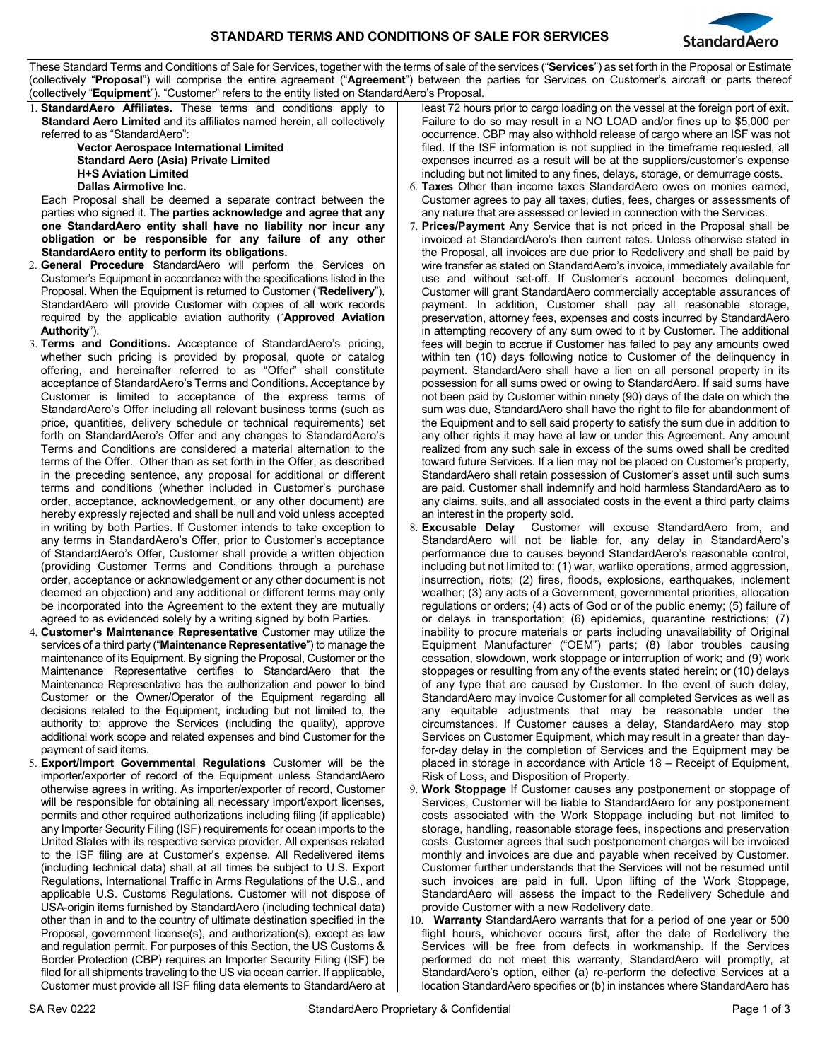

These Standard Terms and Conditions of Sale for Services, together with the terms of sale of the services ("**Services**") as set forth in the Proposal or Estimate (collectively "**Proposal**") will comprise the entire agreement ("**Agreement**") between the parties for Services on Customer's aircraft or parts thereof (collectively "**Equipment**"). "Customer" refers to the entity listed on StandardAero's Proposal.

1. **StandardAero Affiliates.** These terms and conditions apply to **Standard Aero Limited** and its affiliates named herein, all collectively referred to as "StandardAero":

**Vector Aerospace International Limited Standard Aero (Asia) Private Limited H+S Aviation Limited Dallas Airmotive Inc.**

Each Proposal shall be deemed a separate contract between the parties who signed it. **The parties acknowledge and agree that any one StandardAero entity shall have no liability nor incur any obligation or be responsible for any failure of any other StandardAero entity to perform its obligations.**

- 2. **General Procedure** StandardAero will perform the Services on Customer's Equipment in accordance with the specifications listed in the Proposal. When the Equipment is returned to Customer ("**Redelivery**"), StandardAero will provide Customer with copies of all work records required by the applicable aviation authority ("**Approved Aviation Authority**").
- 3. **Terms and Conditions.** Acceptance of StandardAero's pricing, whether such pricing is provided by proposal, quote or catalog offering, and hereinafter referred to as "Offer" shall constitute acceptance of StandardAero's Terms and Conditions. Acceptance by Customer is limited to acceptance of the express terms of StandardAero's Offer including all relevant business terms (such as price, quantities, delivery schedule or technical requirements) set forth on StandardAero's Offer and any changes to StandardAero's Terms and Conditions are considered a material alternation to the terms of the Offer. Other than as set forth in the Offer, as described in the preceding sentence, any proposal for additional or different terms and conditions (whether included in Customer's purchase order, acceptance, acknowledgement, or any other document) are hereby expressly rejected and shall be null and void unless accepted in writing by both Parties. If Customer intends to take exception to any terms in StandardAero's Offer, prior to Customer's acceptance of StandardAero's Offer, Customer shall provide a written objection (providing Customer Terms and Conditions through a purchase order, acceptance or acknowledgement or any other document is not deemed an objection) and any additional or different terms may only be incorporated into the Agreement to the extent they are mutually agreed to as evidenced solely by a writing signed by both Parties.
- 4. **Customer's Maintenance Representative** Customer may utilize the services of a third party ("**Maintenance Representative**") to manage the maintenance of its Equipment. By signing the Proposal, Customer or the Maintenance Representative certifies to StandardAero that the Maintenance Representative has the authorization and power to bind Customer or the Owner/Operator of the Equipment regarding all decisions related to the Equipment, including but not limited to, the authority to: approve the Services (including the quality), approve additional work scope and related expenses and bind Customer for the payment of said items.
- 5. **Export/Import Governmental Regulations** Customer will be the importer/exporter of record of the Equipment unless StandardAero otherwise agrees in writing. As importer/exporter of record, Customer will be responsible for obtaining all necessary import/export licenses, permits and other required authorizations including filing (if applicable) any Importer Security Filing (ISF) requirements for ocean imports to the United States with its respective service provider. All expenses related to the ISF filing are at Customer's expense. All Redelivered items (including technical data) shall at all times be subject to U.S. Export Regulations, International Traffic in Arms Regulations of the U.S., and applicable U.S. Customs Regulations. Customer will not dispose of USA-origin items furnished by StandardAero (including technical data) other than in and to the country of ultimate destination specified in the Proposal, government license(s), and authorization(s), except as law and regulation permit. For purposes of this Section, the US Customs & Border Protection (CBP) requires an Importer Security Filing (ISF) be filed for all shipments traveling to the US via ocean carrier. If applicable, Customer must provide all ISF filing data elements to StandardAero at

least 72 hours prior to cargo loading on the vessel at the foreign port of exit. Failure to do so may result in a NO LOAD and/or fines up to \$5,000 per occurrence. CBP may also withhold release of cargo where an ISF was not filed. If the ISF information is not supplied in the timeframe requested, all expenses incurred as a result will be at the suppliers/customer's expense including but not limited to any fines, delays, storage, or demurrage costs.

- 6. **Taxes** Other than income taxes StandardAero owes on monies earned, Customer agrees to pay all taxes, duties, fees, charges or assessments of any nature that are assessed or levied in connection with the Services.
- **Prices/Payment** Any Service that is not priced in the Proposal shall be invoiced at StandardAero's then current rates. Unless otherwise stated in the Proposal, all invoices are due prior to Redelivery and shall be paid by wire transfer as stated on StandardAero's invoice, immediately available for use and without set-off. If Customer's account becomes delinquent, Customer will grant StandardAero commercially acceptable assurances of payment. In addition, Customer shall pay all reasonable storage, preservation, attorney fees, expenses and costs incurred by StandardAero in attempting recovery of any sum owed to it by Customer. The additional fees will begin to accrue if Customer has failed to pay any amounts owed within ten (10) days following notice to Customer of the delinquency in payment. StandardAero shall have a lien on all personal property in its possession for all sums owed or owing to StandardAero. If said sums have not been paid by Customer within ninety (90) days of the date on which the sum was due, StandardAero shall have the right to file for abandonment of the Equipment and to sell said property to satisfy the sum due in addition to any other rights it may have at law or under this Agreement. Any amount realized from any such sale in excess of the sums owed shall be credited toward future Services. If a lien may not be placed on Customer's property, StandardAero shall retain possession of Customer's asset until such sums are paid. Customer shall indemnify and hold harmless StandardAero as to any claims, suits, and all associated costs in the event a third party claims an interest in the property sold.
- **Excusable Delay** Customer will excuse StandardAero from, and StandardAero will not be liable for, any delay in StandardAero's performance due to causes beyond StandardAero's reasonable control, including but not limited to: (1) war, warlike operations, armed aggression, insurrection, riots; (2) fires, floods, explosions, earthquakes, inclement weather; (3) any acts of a Government, governmental priorities, allocation regulations or orders; (4) acts of God or of the public enemy; (5) failure of or delays in transportation; (6) epidemics, quarantine restrictions; (7) inability to procure materials or parts including unavailability of Original Equipment Manufacturer ("OEM") parts; (8) labor troubles causing cessation, slowdown, work stoppage or interruption of work; and (9) work stoppages or resulting from any of the events stated herein; or (10) delays of any type that are caused by Customer. In the event of such delay, StandardAero may invoice Customer for all completed Services as well as any equitable adjustments that may be reasonable under the circumstances. If Customer causes a delay, StandardAero may stop Services on Customer Equipment, which may result in a greater than dayfor-day delay in the completion of Services and the Equipment may be placed in storage in accordance with Article 18 – Receipt of Equipment, Risk of Loss, and Disposition of Property.
- 9. **Work Stoppage** If Customer causes any postponement or stoppage of Services, Customer will be liable to StandardAero for any postponement costs associated with the Work Stoppage including but not limited to storage, handling, reasonable storage fees, inspections and preservation costs. Customer agrees that such postponement charges will be invoiced monthly and invoices are due and payable when received by Customer. Customer further understands that the Services will not be resumed until such invoices are paid in full. Upon lifting of the Work Stoppage, StandardAero will assess the impact to the Redelivery Schedule and provide Customer with a new Redelivery date.
- 10. **Warranty** StandardAero warrants that for a period of one year or 500 flight hours, whichever occurs first, after the date of Redelivery the Services will be free from defects in workmanship. If the Services performed do not meet this warranty, StandardAero will promptly, at StandardAero's option, either (a) re-perform the defective Services at a location StandardAero specifies or (b) in instances where StandardAero has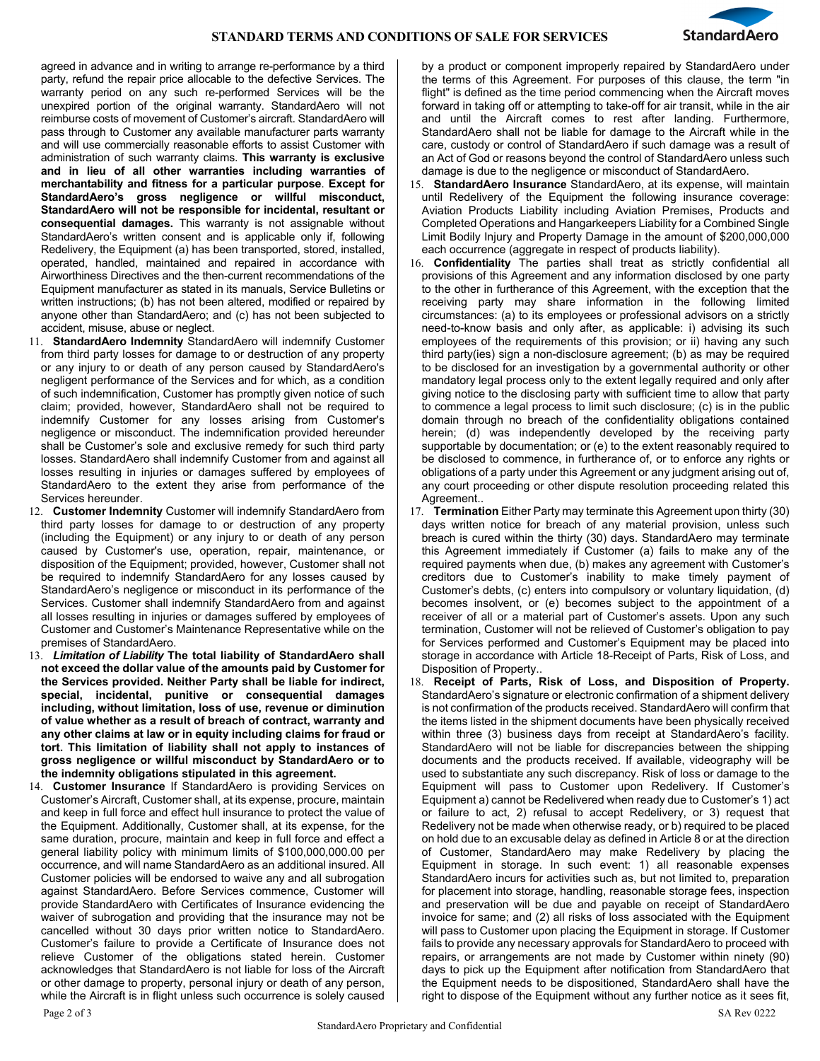

agreed in advance and in writing to arrange re-performance by a third party, refund the repair price allocable to the defective Services. The warranty period on any such re-performed Services will be the unexpired portion of the original warranty. StandardAero will not reimburse costs of movement of Customer's aircraft. StandardAero will pass through to Customer any available manufacturer parts warranty and will use commercially reasonable efforts to assist Customer with administration of such warranty claims. **This warranty is exclusive and in lieu of all other warranties including warranties of merchantability and fitness for a particular purpose**. **Except for StandardAero's gross negligence or willful misconduct, StandardAero will not be responsible for incidental, resultant or consequential damages.** This warranty is not assignable without StandardAero's written consent and is applicable only if, following Redelivery, the Equipment (a) has been transported, stored, installed, operated, handled, maintained and repaired in accordance with Airworthiness Directives and the then-current recommendations of the Equipment manufacturer as stated in its manuals, Service Bulletins or written instructions; (b) has not been altered, modified or repaired by anyone other than StandardAero; and (c) has not been subjected to accident, misuse, abuse or neglect.

- 11. **StandardAero Indemnity** StandardAero will indemnify Customer from third party losses for damage to or destruction of any property or any injury to or death of any person caused by StandardAero's negligent performance of the Services and for which, as a condition of such indemnification, Customer has promptly given notice of such claim; provided, however, StandardAero shall not be required to indemnify Customer for any losses arising from Customer's negligence or misconduct. The indemnification provided hereunder shall be Customer's sole and exclusive remedy for such third party losses. StandardAero shall indemnify Customer from and against all losses resulting in injuries or damages suffered by employees of StandardAero to the extent they arise from performance of the Services hereunder.
- 12. **Customer Indemnity** Customer will indemnify StandardAero from third party losses for damage to or destruction of any property (including the Equipment) or any injury to or death of any person caused by Customer's use, operation, repair, maintenance, or disposition of the Equipment; provided, however, Customer shall not be required to indemnify StandardAero for any losses caused by StandardAero's negligence or misconduct in its performance of the Services. Customer shall indemnify StandardAero from and against all losses resulting in injuries or damages suffered by employees of Customer and Customer's Maintenance Representative while on the premises of StandardAero.
- 13. *Limitation of Liability* **The total liability of StandardAero shall not exceed the dollar value of the amounts paid by Customer for the Services provided. Neither Party shall be liable for indirect, special, incidental, punitive or consequential damages including, without limitation, loss of use, revenue or diminution of value whether as a result of breach of contract, warranty and any other claims at law or in equity including claims for fraud or tort. This limitation of liability shall not apply to instances of gross negligence or willful misconduct by StandardAero or to the indemnity obligations stipulated in this agreement.**
- 14. **Customer Insurance** If StandardAero is providing Services on Customer's Aircraft, Customer shall, at its expense, procure, maintain and keep in full force and effect hull insurance to protect the value of the Equipment. Additionally, Customer shall, at its expense, for the same duration, procure, maintain and keep in full force and effect a general liability policy with minimum limits of \$100,000,000.00 per occurrence, and will name StandardAero as an additional insured. All Customer policies will be endorsed to waive any and all subrogation against StandardAero. Before Services commence, Customer will provide StandardAero with Certificates of Insurance evidencing the waiver of subrogation and providing that the insurance may not be cancelled without 30 days prior written notice to StandardAero. Customer's failure to provide a Certificate of Insurance does not relieve Customer of the obligations stated herein. Customer acknowledges that StandardAero is not liable for loss of the Aircraft or other damage to property, personal injury or death of any person, while the Aircraft is in flight unless such occurrence is solely caused

by a product or component improperly repaired by StandardAero under the terms of this Agreement. For purposes of this clause, the term "in flight" is defined as the time period commencing when the Aircraft moves forward in taking off or attempting to take-off for air transit, while in the air and until the Aircraft comes to rest after landing. Furthermore, StandardAero shall not be liable for damage to the Aircraft while in the care, custody or control of StandardAero if such damage was a result of an Act of God or reasons beyond the control of StandardAero unless such damage is due to the negligence or misconduct of StandardAero.

- 15. **StandardAero Insurance** StandardAero, at its expense, will maintain until Redelivery of the Equipment the following insurance coverage: Aviation Products Liability including Aviation Premises, Products and Completed Operations and Hangarkeepers Liability for a Combined Single Limit Bodily Injury and Property Damage in the amount of \$200,000,000 each occurrence (aggregate in respect of products liability).
- 16. **Confidentiality** The parties shall treat as strictly confidential all provisions of this Agreement and any information disclosed by one party to the other in furtherance of this Agreement, with the exception that the receiving party may share information in the following limited circumstances: (a) to its employees or professional advisors on a strictly need-to-know basis and only after, as applicable: i) advising its such employees of the requirements of this provision; or ii) having any such third party(ies) sign a non-disclosure agreement; (b) as may be required to be disclosed for an investigation by a governmental authority or other mandatory legal process only to the extent legally required and only after giving notice to the disclosing party with sufficient time to allow that party to commence a legal process to limit such disclosure; (c) is in the public domain through no breach of the confidentiality obligations contained herein; (d) was independently developed by the receiving party supportable by documentation; or (e) to the extent reasonably required to be disclosed to commence, in furtherance of, or to enforce any rights or obligations of a party under this Agreement or any judgment arising out of, any court proceeding or other dispute resolution proceeding related this Agreement..
- 17. **Termination** Either Party may terminate this Agreement upon thirty (30) days written notice for breach of any material provision, unless such breach is cured within the thirty (30) days. StandardAero may terminate this Agreement immediately if Customer (a) fails to make any of the required payments when due, (b) makes any agreement with Customer's creditors due to Customer's inability to make timely payment of Customer's debts, (c) enters into compulsory or voluntary liquidation, (d) becomes insolvent, or (e) becomes subject to the appointment of a receiver of all or a material part of Customer's assets. Upon any such termination, Customer will not be relieved of Customer's obligation to pay for Services performed and Customer's Equipment may be placed into storage in accordance with Article 18-Receipt of Parts, Risk of Loss, and Disposition of Property..
- 18. **Receipt of Parts, Risk of Loss, and Disposition of Property.** StandardAero's signature or electronic confirmation of a shipment delivery is not confirmation of the products received. StandardAero will confirm that the items listed in the shipment documents have been physically received within three (3) business days from receipt at StandardAero's facility. StandardAero will not be liable for discrepancies between the shipping documents and the products received. If available, videography will be used to substantiate any such discrepancy. Risk of loss or damage to the Equipment will pass to Customer upon Redelivery. If Customer's Equipment a) cannot be Redelivered when ready due to Customer's 1) act or failure to act, 2) refusal to accept Redelivery, or 3) request that Redelivery not be made when otherwise ready, or b) required to be placed on hold due to an excusable delay as defined in Article 8 or at the direction of Customer, StandardAero may make Redelivery by placing the Equipment in storage. In such event: 1) all reasonable expenses StandardAero incurs for activities such as, but not limited to, preparation for placement into storage, handling, reasonable storage fees, inspection and preservation will be due and payable on receipt of StandardAero invoice for same; and (2) all risks of loss associated with the Equipment will pass to Customer upon placing the Equipment in storage. If Customer fails to provide any necessary approvals for StandardAero to proceed with repairs, or arrangements are not made by Customer within ninety (90) days to pick up the Equipment after notification from StandardAero that the Equipment needs to be dispositioned, StandardAero shall have the right to dispose of the Equipment without any further notice as it sees fit,